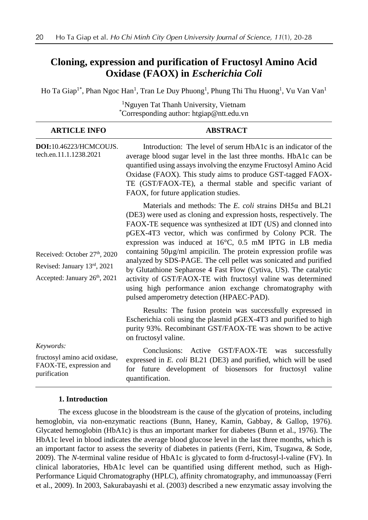# **Cloning, expression and purification of Fructosyl Amino Acid Oxidase (FAOX) in** *Escherichia Coli*

Ho Ta Giap<sup>1\*</sup>, Phan Ngoc Han<sup>1</sup>, Tran Le Duy Phuong<sup>1</sup>, Phung Thi Thu Huong<sup>1</sup>, Vu Van Van<sup>1</sup>

| inguyen rat rhann University, vietnam<br>*Corresponding author: htgiap@ntt.edu.vn                        |                                                                                                                                                                                                                                                                                                                                                                                                                                                                                                                                                                                                                                                                                                                      |
|----------------------------------------------------------------------------------------------------------|----------------------------------------------------------------------------------------------------------------------------------------------------------------------------------------------------------------------------------------------------------------------------------------------------------------------------------------------------------------------------------------------------------------------------------------------------------------------------------------------------------------------------------------------------------------------------------------------------------------------------------------------------------------------------------------------------------------------|
| <b>ARTICLE INFO</b>                                                                                      | <b>ABSTRACT</b>                                                                                                                                                                                                                                                                                                                                                                                                                                                                                                                                                                                                                                                                                                      |
| DOI:10.46223/HCMCOUJS.<br>tech.en.11.1.1238.2021                                                         | Introduction: The level of serum HbA1c is an indicator of the<br>average blood sugar level in the last three months. HbA1c can be<br>quantified using assays involving the enzyme Fructosyl Amino Acid<br>Oxidase (FAOX). This study aims to produce GST-tagged FAOX-<br>TE (GST/FAOX-TE), a thermal stable and specific variant of<br>FAOX, for future application studies.                                                                                                                                                                                                                                                                                                                                         |
| Received: October 27th, 2020<br>Revised: January 13rd, 2021<br>Accepted: January 26 <sup>th</sup> , 2021 | Materials and methods: The E. coli strains $DH5\alpha$ and $BL21$<br>(DE3) were used as cloning and expression hosts, respectively. The<br>FAOX-TE sequence was synthesized at IDT (US) and clonned into<br>pGEX-4T3 vector, which was confirmed by Colony PCR. The<br>expression was induced at 16°C, 0.5 mM IPTG in LB media<br>containing 50µg/ml ampicilin. The protein expression profile was<br>analyzed by SDS-PAGE. The cell pellet was sonicated and purified<br>by Glutathione Sepharose 4 Fast Flow (Cytiva, US). The catalytic<br>activity of GST/FAOX-TE with fructosyl valine was determined<br>using high performance anion exchange chromatography with<br>pulsed amperometry detection (HPAEC-PAD). |
|                                                                                                          | Results: The fusion protein was successfully expressed in<br>Escherichia coli using the plasmid pGEX-4T3 and purified to high<br>purity 93%. Recombinant GST/FAOX-TE was shown to be active<br>on fructosyl valine.                                                                                                                                                                                                                                                                                                                                                                                                                                                                                                  |
| Keywords:<br>fructosyl amino acid oxidase,<br>FAOX-TE, expression and<br>purification                    | GST/FAOX-TE<br>Conclusions: Active<br>successfully<br>was<br>expressed in E. coli BL21 (DE3) and purified, which will be used<br>for future development of biosensors for fructosyl valine<br>quantification.                                                                                                                                                                                                                                                                                                                                                                                                                                                                                                        |

# <sup>1</sup>Nguyen Tat Thanh University, Vietnam

## **1. Introduction**

The excess glucose in the bloodstream is the cause of the glycation of proteins, including hemoglobin, via non-enzymatic reactions (Bunn, Haney, Kamin, Gabbay, & Gallop, 1976). Glycated hemoglobin (HbA1c) is thus an important marker for diabetes (Bunn et al., 1976). The HbA1c level in blood indicates the average blood glucose level in the last three months, which is an important factor to assess the severity of diabetes in patients (Ferri, Kim, Tsugawa, & Sode, 2009). The *N-*terminal valine residue of HbA1c is glycated to form d-fructosyl-l-valine (FV). In clinical laboratories, HbA1c level can be quantified using different method, such as High-Performance Liquid Chromatography (HPLC), affinity chromatography, and immunoassay (Ferri et al., 2009). In 2003, Sakurabayashi et al. (2003) described a new enzymatic assay involving the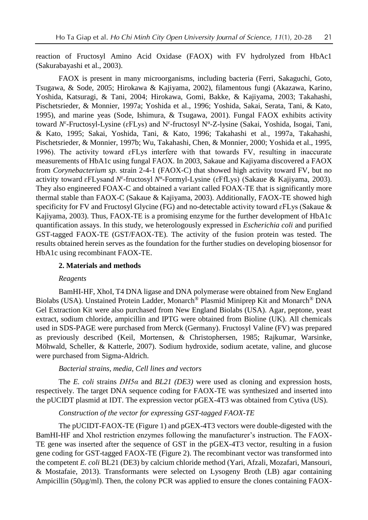reaction of Fructosyl Amino Acid Oxidase (FAOX) with FV hydrolyzed from HbAc1 (Sakurabayashi et al., 2003).

FAOX is present in many microorganisms, including bacteria (Ferri, Sakaguchi, Goto, Tsugawa, & Sode, 2005; Hirokawa & Kajiyama, 2002), filamentous fungi (Akazawa, Karino, Yoshida, Katsuragi, & Tani, 2004; Hirokawa, Gomi, Bakke, & Kajiyama, 2003; Takahashi, Pischetsrieder, & Monnier, 1997a; Yoshida et al., 1996; Yoshida, Sakai, Serata, Tani, & Kato, 1995), and marine yeas (Sode, Ishimura, & Tsugawa, 2001). Fungal FAOX exhibits activity toward N<sup>ε</sup>-Fructosyl-Lysine (εFLys) and N<sup>ε</sup>-fructosyl N<sup>α</sup>-Z-lysine (Sakai, Yoshida, Isogai, Tani, & Kato, 1995; Sakai, Yoshida, Tani, & Kato, 1996; Takahashi et al., 1997a, Takahashi, Pischetsrieder, & Monnier, 1997b; Wu, Takahashi, Chen, & Monnier, 2000; Yoshida et al., 1995, 1996). The activity toward ɛFLys interfere with that towards FV, resulting in inaccurate measurements of HbA1c using fungal FAOX. In 2003, Sakaue and Kajiyama discovered a FAOX from *Corynebacterium sp.* strain 2-4-1 (FAOX-C) that showed high activity toward FV, but no activity toward εFLysand N<sup>ε</sup>-fructosyl N<sup>α</sup>-Formyl-Lysine (εFfLys) (Sakaue & Kajiyama, 2003). They also engineered FOAX-C and obtained a variant called FOAX-TE that is significantly more thermal stable than FAOX-C (Sakaue & Kajiyama, 2003). Additionally, FAOX-TE showed high specificity for FV and Fructosyl Glycine (FG) and no-detectable activity toward ɛFLys (Sakaue & Kajiyama, 2003). Thus, FAOX-TE is a promising enzyme for the further development of HbA1c quantification assays. In this study, we heterologously expressed in *Escherichia coli* and purified GST-tagged FAOX-TE (GST/FAOX-TE). The activity of the fusion protein was tested. The results obtained herein serves as the foundation for the further studies on developing biosensor for HbA1c using recombinant FAOX-TE.

#### **2. Materials and methods**

#### *Reagents*

BamHI-HF, XhoI, T4 DNA ligase and DNA polymerase were obtained from New England Biolabs (USA). Unstained Protein Ladder, Monarch® Plasmid Miniprep Kit and Monarch® DNA Gel Extraction Kit were also purchased from New England Biolabs (USA). Agar, peptone, yeast extract, sodium chloride, ampicillin and IPTG were obtained from Bioline (UK). All chemicals used in SDS-PAGE were purchased from Merck (Germany). Fructosyl Valine (FV) was prepared as previously described (Keil, Mortensen, & Christophersen, 1985; Rajkumar, Warsinke, Möhwald, Scheller, & Katterle, 2007). Sodium hydroxide, sodium acetate, valine, and glucose were purchased from Sigma-Aldrich.

#### *Bacterial strains, media, Cell lines and vectors*

The *E. coli* strains *DH5α* and *BL21 (DE3)* were used as cloning and expression hosts, respectively. The target DNA sequence coding for FAOX-TE was synthesized and inserted into the pUCIDT plasmid at IDT. The expression vector pGEX-4T3 was obtained from Cytiva (US).

# *Construction of the vector for expressing GST-tagged FAOX-TE*

The pUCIDT-FAOX-TE (Figure 1) and pGEX-4T3 vectors were double-digested with the BamHI-HF and XhoI restriction enzymes following the manufacturer's instruction. The FAOX-TE gene was inserted after the sequence of GST in the pGEX-4T3 vector, resulting in a fusion gene coding for GST-tagged FAOX-TE (Figure 2). The recombinant vector was transformed into the competent *E. coli* BL21 (DE3) by calcium chloride method (Yari, Afzali, Mozafari, Mansouri, & Mostafaie, 2013). Transformants were selected on Lysogeny Broth (LB) agar containing Ampicillin (50µg/ml). Then, the colony PCR was applied to ensure the clones containing FAOX-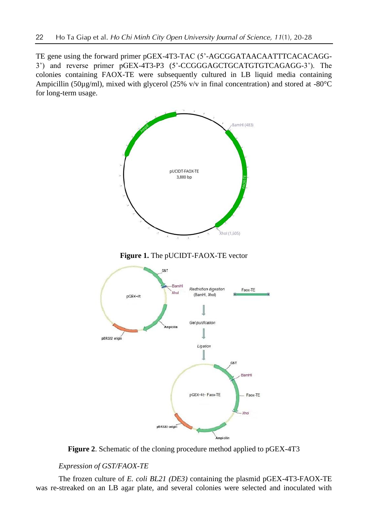TE gene using the forward primer pGEX-4T3-TAC (5'-AGCGGATAACAATTTCACACAGG-3') and reverse primer pGEX-4T3-P3 (5'-CCGGGAGCTGCATGTGTCAGAGG-3'). The colonies containing FAOX-TE were subsequently cultured in LB liquid media containing Ampicillin (50µg/ml), mixed with glycerol (25% v/v in final concentration) and stored at -80 $^{\circ}$ C for long-term usage.



**Figure 1.** The pUCIDT-FAOX-TE vector



**Figure 2**. Schematic of the cloning procedure method applied to pGEX-4T3

# *Expression of GST/FAOX-TE*

The frozen culture of *E. coli BL21 (DE3)* containing the plasmid pGEX-4T3-FAOX-TE was re-streaked on an LB agar plate, and several colonies were selected and inoculated with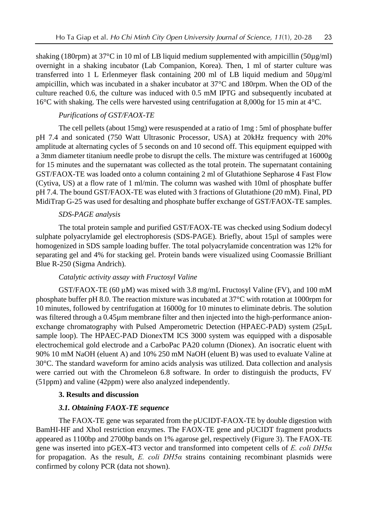shaking (180rpm) at  $37^{\circ}$ C in 10 ml of LB liquid medium supplemented with ampicillin (50 $\mu$ g/ml) overnight in a shaking incubator (Lab Companion, Korea). Then, 1 ml of starter culture was transferred into 1 L Erlenmeyer flask containing 200 ml of LB liquid medium and 50µg/ml ampicillin, which was incubated in a shaker incubator at 37°C and 180rpm. When the OD of the culture reached 0.6, the culture was induced with 0.5 mM IPTG and subsequently incubated at 16°C with shaking. The cells were harvested using centrifugation at 8,000g for 15 min at 4°C.

# *Purifications of GST/FAOX-TE*

The cell pellets (about 15mg) were resuspended at a ratio of 1mg : 5ml of phosphate buffer pH 7.4 and sonicated (750 Watt Ultrasonic Processor, USA) at 20kHz frequency with 20% amplitude at alternating cycles of 5 seconds on and 10 second off. This equipment equipped with a 3mm diameter titanium needle probe to disrupt the cells. The mixture was centrifuged at 16000g for 15 minutes and the supernatant was collected as the total protein. The supernatant containing GST/FAOX-TE was loaded onto a column containing 2 ml of Glutathione Sepharose 4 Fast Flow (Cytiva, US) at a flow rate of 1 ml/min. The column was washed with 10ml of phosphate buffer pH 7.4. The bound GST/FAOX-TE was eluted with 3 fractions of Glutathione (20 mM). Final, PD MidiTrap G-25 was used for desalting and phosphate buffer exchange of GST/FAOX-TE samples.

# *SDS-PAGE analysis*

The total protein sample and purified GST/FAOX-TE was checked using Sodium dodecyl sulphate polyacrylamide gel electrophoresis (SDS-PAGE). Briefly, about 15µl of samples were homogenized in SDS sample loading buffer. The total polyacrylamide concentration was 12% for separating gel and 4% for stacking gel. Protein bands were visualized using Coomassie Brilliant Blue R-250 (Sigma Andrich).

# *Catalytic activity assay with Fructosyl Valine*

GST/FAOX-TE (60  $\mu$ M) was mixed with 3.8 mg/mL Fructosyl Valine (FV), and 100 mM phosphate buffer pH 8.0. The reaction mixture was incubated at 37°C with rotation at 1000rpm for 10 minutes, followed by centrifugation at 16000g for 10 minutes to eliminate debris. The solution was filtered through a 0.45µm membrane filter and then injected into the high-performance anionexchange chromatography with Pulsed Amperometric Detection (HPAEC-PAD) system (25µL sample loop). The HPAEC-PAD DionexTM ICS 3000 system was equipped with a disposable electrochemical gold electrode and a CarboPac PA20 column (Dionex). An isocratic eluent with 90% 10 mM NaOH (eluent A) and 10% 250 mM NaOH (eluent B) was used to evaluate Valine at 30°C. The standard waveform for amino acids analysis was utilized. Data collection and analysis were carried out with the Chromeleon 6.8 software. In order to distinguish the products, FV (51ppm) and valine (42ppm) were also analyzed independently.

#### **3. Results and discussion**

## *3.1. Obtaining FAOX-TE sequence*

The FAOX-TE gene was separated from the pUCIDT-FAOX-TE by double digestion with BamHI-HF and XhoI restriction enzymes. The FAOX-TE gene and pUCIDT fragment products appeared as 1100bp and 2700bp bands on 1% agarose gel, respectively (Figure 3). The FAOX-TE gene was inserted into pGEX-4T3 vector and transformed into competent cells of *E. coli DH5α* for propagation. As the result, *E. coli DH5α* strains containing recombinant plasmids were confirmed by colony PCR (data not shown).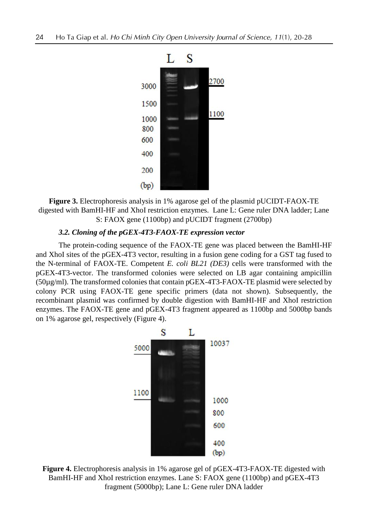

**Figure 3.** Electrophoresis analysis in 1% agarose gel of the plasmid pUCIDT-FAOX-TE digested with BamHI-HF and XhoI restriction enzymes. Lane L: Gene ruler DNA ladder; Lane S: FAOX gene (1100bp) and pUCIDT fragment (2700bp)

# *3.2. Cloning of the pGEX-4T3-FAOX-TE expression vector*

The protein-coding sequence of the FAOX-TE gene was placed between the BamHI-HF and XhoI sites of the pGEX-4T3 vector, resulting in a fusion gene coding for a GST tag fused to the N-terminal of FAOX-TE. Competent *E. coli BL21 (DE3)* cells were transformed with the pGEX-4T3-vector. The transformed colonies were selected on LB agar containing ampicillin (50µg/ml). The transformed colonies that contain pGEX-4T3-FAOX-TE plasmid were selected by colony PCR using FAOX-TE gene specific primers (data not shown). Subsequently, the recombinant plasmid was confirmed by double digestion with BamHI-HF and XhoI restriction enzymes. The FAOX-TE gene and pGEX-4T3 fragment appeared as 1100bp and 5000bp bands on 1% agarose gel, respectively (Figure 4).



**Figure 4.** Electrophoresis analysis in 1% agarose gel of pGEX-4T3-FAOX-TE digested with BamHI-HF and XhoI restriction enzymes. Lane S: FAOX gene (1100bp) and pGEX-4T3 fragment (5000bp); Lane L: Gene ruler DNA ladder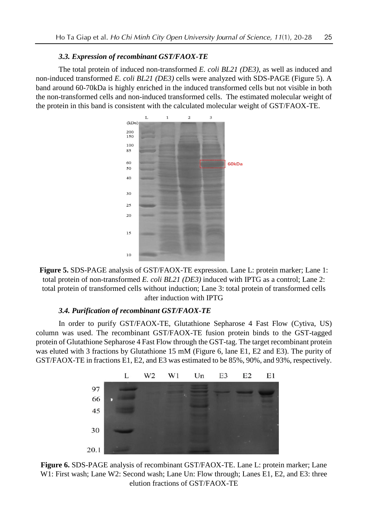#### *3.3. Expression of recombinant GST/FAOX-TE*

The total protein of induced non-transformed *E. coli BL21 (DE3)*, as well as induced and non-induced transformed *E. coli BL21 (DE3)* cells were analyzed with SDS-PAGE (Figure 5). A band around 60-70kDa is highly enriched in the induced transformed cells but not visible in both the non-transformed cells and non-induced transformed cells. The estimated molecular weight of the protein in this band is consistent with the calculated molecular weight of GST/FAOX-TE.



**Figure 5.** SDS-PAGE analysis of GST/FAOX-TE expression*.* Lane L: protein marker; Lane 1: total protein of non-transformed *E. coli BL21 (DE3)* induced with IPTG as a control; Lane 2: total protein of transformed cells without induction; Lane 3: total protein of transformed cells after induction with IPTG

# *3.4. Purification of recombinant GST/FAOX-TE*

In order to purify GST/FAOX-TE, Glutathione Sepharose 4 Fast Flow (Cytiva, US) column was used. The recombinant GST/FAOX-TE fusion protein binds to the GST-tagged protein of Glutathione Sepharose 4 Fast Flow through the GST-tag. The target recombinant protein was eluted with 3 fractions by Glutathione 15 mM (Figure 6, lane E1, E2 and E3). The purity of GST/FAOX-TE in fractions E1, E2, and E3 was estimated to be 85%, 90%, and 93%, respectively.



**Figure 6.** SDS-PAGE analysis of recombinant GST/FAOX-TE. Lane L: protein marker; Lane W1: First wash; Lane W2: Second wash; Lane Un: Flow through; Lanes E1, E2, and E3: three elution fractions of GST/FAOX-TE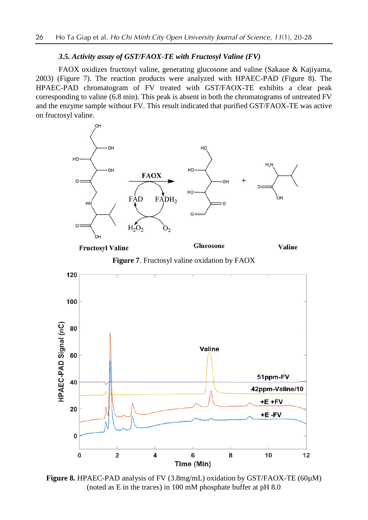### *3.5. Activity assay of GST/FAOX-TE with Fructosyl Valine (FV)*

FAOX oxidizes fructosyl valine, generating glucosone and valine (Sakaue & Kajiyama, 2003) (Figure 7). The reaction products were analyzed with HPAEC-PAD (Figure 8). The HPAEC-PAD chromatogram of FV treated with GST/FAOX-TE exhibits a clear peak corresponding to valine (6.8 min). This peak is absent in both the chromatograms of untreated FV and the enzyme sample without FV. This result indicated that purified GST/FAOX-TE was active on fructosyl valine.



**Fructosyl Valine** 

Glucosone

Valine

**Figure 7**. Fructosyl valine oxidation by FAOX



**Figure 8.** HPAEC-PAD analysis of FV (3.8mg/mL) oxidation by GST/FAOX-TE (60µM) (noted as E in the traces) in 100 mM phosphate buffer at pH 8.0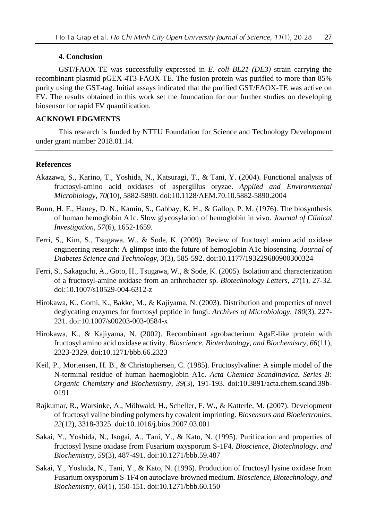#### **4. Conclusion**

GST/FAOX-TE was successfully expressed in *E. coli BL21 (DE3)* strain carrying the recombinant plasmid pGEX-4T3-FAOX-TE. The fusion protein was purified to more than 85% purity using the GST-tag. Initial assays indicated that the purified GST/FAOX-TE was active on FV. The results obtained in this work set the foundation for our further studies on developing biosensor for rapid FV quantification.

# **ACKNOWLEDGMENTS**

This research is funded by NTTU Foundation for Science and Technology Development under grant number 2018.01.14.

#### **References**

- Akazawa, S., Karino, T., Yoshida, N., Katsuragi, T., & Tani, Y. (2004). Functional analysis of fructosyl-amino acid oxidases of aspergillus oryzae. *Applied and Environmental Microbiology*, *70*(10), 5882-5890. doi:10.1128/AEM.70.10.5882-5890.2004
- Bunn, H. F., Haney, D. N., Kamin, S., Gabbay, K. H., & Gallop, P. M. (1976). The biosynthesis of human hemoglobin A1c. Slow glycosylation of hemoglobin in vivo. *Journal of Clinical Investigation*, *57*(6), 1652-1659.
- Ferri, S., Kim, S., Tsugawa, W., & Sode, K. (2009). Review of fructosyl amino acid oxidase engineering research: A glimpse into the future of hemoglobin A1c biosensing. *Journal of Diabetes Science and Technology*, *3*(3), 585-592. doi:10.1177/193229680900300324
- Ferri, S., Sakaguchi, A., Goto, H., Tsugawa, W., & Sode, K. (2005). Isolation and characterization of a fructosyl-amine oxidase from an arthrobacter sp. *Biotechnology Letters*, *27*(1), 27-32. doi:10.1007/s10529-004-6312-z
- Hirokawa, K., Gomi, K., Bakke, M., & Kajiyama, N. (2003). Distribution and properties of novel deglycating enzymes for fructosyl peptide in fungi. *Archives of Microbiology*, *180*(3), 227- 231. doi:10.1007/s00203-003-0584-x
- Hirokawa, K., & Kajiyama, N. (2002). Recombinant agrobacterium AgaE-like protein with fructosyl amino acid oxidase activity. *Bioscience, Biotechnology, and Biochemistry*, *66*(11), 2323-2329. doi:10.1271/bbb.66.2323
- Keil, P., Mortensen, H. B., & Christophersen, C. (1985). Fructosylvaline: A simple model of the N-terminal residue of human haemoglobin A1c. *Acta Chemica Scandinavica. Series B: Organic Chemistry and Biochemistry*, *39*(3), 191-193. doi:10.3891/acta.chem.scand.39b-0191
- Rajkumar, R., Warsinke, A., Möhwald, H., Scheller, F. W., & Katterle, M. (2007). Development of fructosyl valine binding polymers by covalent imprinting. *Biosensors and Bioelectronics*, *22*(12), 3318-3325. doi:10.1016/j.bios.2007.03.001
- Sakai, Y., Yoshida, N., Isogai, A., Tani, Y., & Kato, N. (1995). Purification and properties of fructosyl lysine oxidase from Fusarium oxysporum S-1F4. *Bioscience, Biotechnology, and Biochemistry*, *59*(3), 487-491. doi:10.1271/bbb.59.487
- Sakai, Y., Yoshida, N., Tani, Y., & Kato, N. (1996). Production of fructosyl lysine oxidase from Fusarium oxysporum S-1F4 on autoclave-browned medium. *Bioscience, Biotechnology, and Biochemistry*, *60*(1), 150-151. doi:10.1271/bbb.60.150